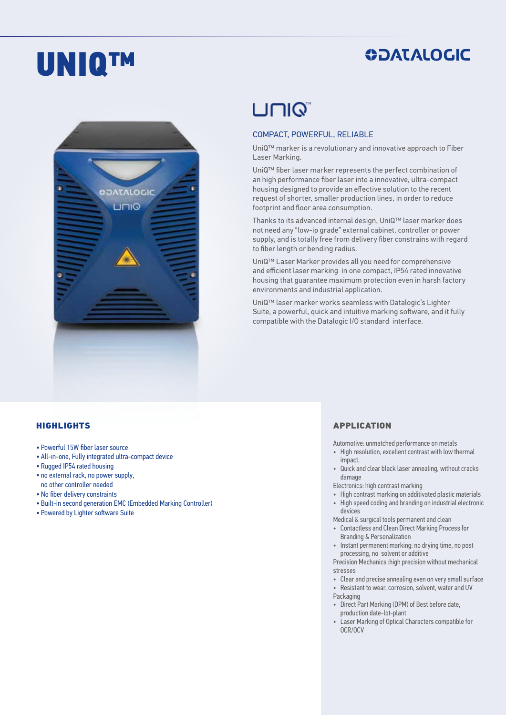# UNIQ™

### **ODATALOGIC**



# **UNIQ**

#### COMPACT, POWERFUL, RELIABLE

UniQ™ marker is a revolutionary and innovative approach to Fiber Laser Marking.

UniQ™ fiber laser marker represents the perfect combination of an high performance fiber laser into a innovative, ultra-compact housing designed to provide an effective solution to the recent request of shorter, smaller production lines, in order to reduce footprint and floor area consumption.

Thanks to its advanced internal design, UniQ™ laser marker does not need any "low-ip grade" external cabinet, controller or power supply, and is totally free from delivery fiber constrains with regard to fiber length or bending radius.

UniQ™ Laser Marker provides all you need for comprehensive and efficient laser marking in one compact, IP54 rated innovative housing that guarantee maximum protection even in harsh factory environments and industrial application.

UniQ™ laser marker works seamless with Datalogic's Lighter Suite, a powerful, quick and intuitive marking software, and it fully compatible with the Datalogic I/O standard interface.

#### HIGHLIGHTS

- Powerful 15W fiber laser source
- All-in-one, Fully integrated ultra-compact device
- Rugged IP54 rated housing
- no external rack, no power supply, no other controller needed
- No fiber delivery constraints
- Built-in second generation EMC (Embedded Marking Controller)
- Powered by Lighter software Suite

#### APPLICATION

Automotive: unmatched performance on metals

- High resolution, excellent contrast with low thermal impact.
- Quick and clear black laser annealing, without cracks damage
- Electronics: high contrast marking
- High contrast marking on additivated plastic materials
- High speed coding and branding on industrial electronic devices
- Medical & surgical tools permanent and clean
- Contactless and Clean Direct Marking Process for Branding & Personalization
- Instant permanent marking: no drying time, no post processing, no solvent or additive

Precision Mechanics :high precision without mechanical stresses

- Clear and precise annealing even on very small surface
- Resistant to wear, corrosion, solvent, water and UV
- Packaging
- Direct Part Marking (DPM) of Best before date, production date-lot-plant
- Laser Marking of Optical Characters compatible for OCR/OCV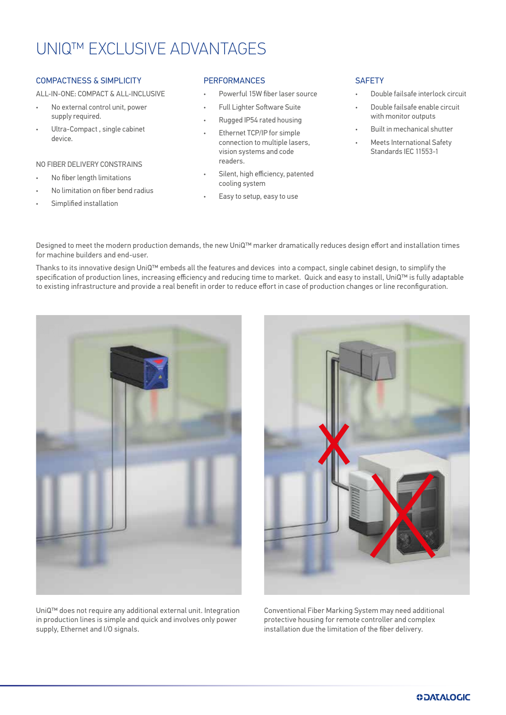# UNIQ™ EXCLUSIVE ADVANTAGES

#### COMPACTNESS & SIMPLICITY

ALL-IN-ONE: COMPACT & ALL-INCLUSIVE

- No external control unit, power supply required.
- Ultra-Compact , single cabinet device.

#### NO FIBER DELIVERY CONSTRAINS

- No fiber length limitations
- No limitation on fiber bend radius
- Simplified installation

#### **PERFORMANCES**

- Powerful 15W fiber laser source
- Full Lighter Software Suite
- Rugged IP54 rated housing
- Ethernet TCP/IP for simple connection to multiple lasers, vision systems and code readers.
- Silent, high efficiency, patented cooling system
- Easy to setup, easy to use

#### **SAFETY**

- Double failsafe interlock circuit
- Double failsafe enable circuit with monitor outputs
- Built in mechanical shutter
- Meets International Safety Standards IEC 11553-1

Designed to meet the modern production demands, the new UniQ™ marker dramatically reduces design effort and installation times for machine builders and end-user.

Thanks to its innovative design UniQ™ embeds all the features and devices into a compact, single cabinet design, to simplify the specification of production lines, increasing efficiency and reducing time to market. Quick and easy to install, UniQ™ is fully adaptable to existing infrastructure and provide a real benefit in order to reduce effort in case of production changes or line reconfiguration.





UniQ™ does not require any additional external unit. Integration in production lines is simple and quick and involves only power supply, Ethernet and I/O signals.

Conventional Fiber Marking System may need additional protective housing for remote controller and complex installation due the limitation of the fiber delivery.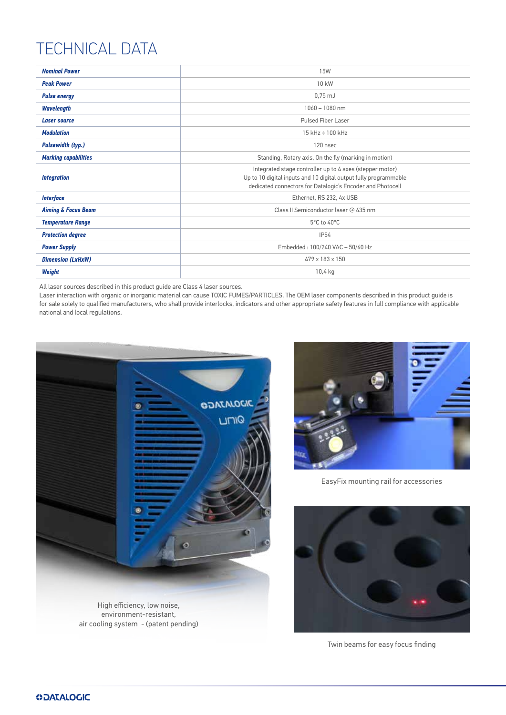# TECHNICAL DATA

| <b>Nominal Power</b>           | <b>15W</b>                                                                                                                                                                                 |  |
|--------------------------------|--------------------------------------------------------------------------------------------------------------------------------------------------------------------------------------------|--|
| <b>Peak Power</b>              | 10 kW                                                                                                                                                                                      |  |
| <b>Pulse energy</b>            | $0,75$ mJ                                                                                                                                                                                  |  |
| <b>Wavelength</b>              | $1060 - 1080$ nm                                                                                                                                                                           |  |
| <b>Laser source</b>            | Pulsed Fiber Laser                                                                                                                                                                         |  |
| <b>Modulation</b>              | 15 kHz ÷ 100 kHz                                                                                                                                                                           |  |
| <b>Pulsewidth (typ.)</b>       | 120 nsec                                                                                                                                                                                   |  |
| <b>Marking capabilities</b>    | Standing, Rotary axis, On the fly (marking in motion)                                                                                                                                      |  |
| <b>Integration</b>             | Integrated stage controller up to 4 axes (stepper motor)<br>Up to 10 digital inputs and 10 digital output fully programmable<br>dedicated connectors for Datalogic's Encoder and Photocell |  |
| <b>Interface</b>               | Ethernet, RS 232, 4x USB                                                                                                                                                                   |  |
| <b>Aiming &amp; Focus Beam</b> | Class II Semiconductor laser @ 635 nm                                                                                                                                                      |  |
| <b>Temperature Range</b>       | 5°C to 40°C                                                                                                                                                                                |  |
| <b>Protection degree</b>       | <b>IP54</b>                                                                                                                                                                                |  |
| <b>Power Supply</b>            | Embedded: 100/240 VAC - 50/60 Hz                                                                                                                                                           |  |
| <b>Dimension (LxHxW)</b>       | 479 x 183 x 150                                                                                                                                                                            |  |
| Weight                         | 10,4 kg                                                                                                                                                                                    |  |

All laser sources described in this product guide are Class 4 laser sources.

Laser interaction with organic or inorganic material can cause TOXIC FUMES/PARTICLES. The OEM laser components described in this product guide is for sale solely to qualified manufacturers, who shall provide interlocks, indicators and other appropriate safety features in full compliance with applicable national and local regulations.



environment-resistant, air cooling system - (patent pending)



EasyFix mounting rail for accessories



Twin beams for easy focus finding